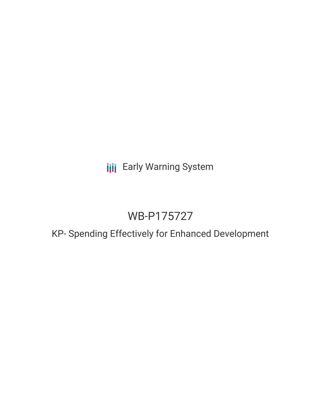**III** Early Warning System

# WB-P175727

# KP- Spending Effectively for Enhanced Development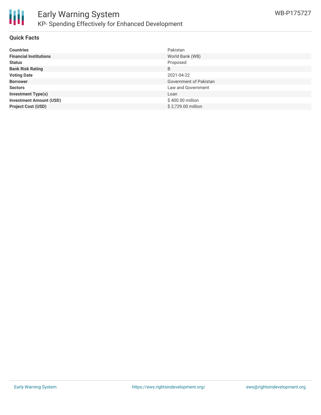

### **Quick Facts**

| <b>Countries</b>               | Pakistan               |
|--------------------------------|------------------------|
| <b>Financial Institutions</b>  | World Bank (WB)        |
| <b>Status</b>                  | Proposed               |
| <b>Bank Risk Rating</b>        | B                      |
| <b>Voting Date</b>             | 2021-04-22             |
| <b>Borrower</b>                | Government of Pakistan |
| <b>Sectors</b>                 | Law and Government     |
| <b>Investment Type(s)</b>      | Loan                   |
| <b>Investment Amount (USD)</b> | \$400.00 million       |
| <b>Project Cost (USD)</b>      | \$2,729.00 million     |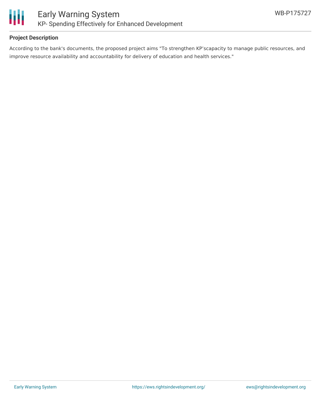

### **Project Description**

According to the bank's documents, the proposed project aims "To strengthen KP'scapacity to manage public resources, and improve resource availability and accountability for delivery of education and health services."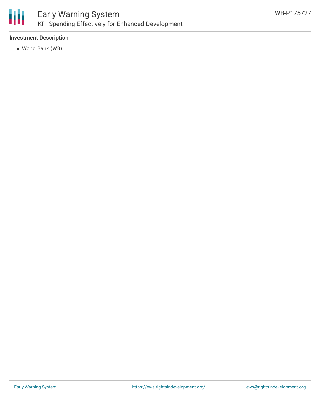

# Early Warning System KP- Spending Effectively for Enhanced Development

### **Investment Description**

World Bank (WB)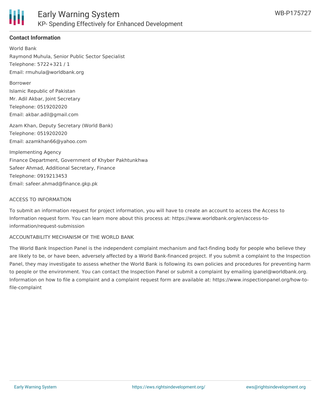

## **Contact Information**

World Bank Raymond Muhula, Senior Public Sector Specialist Telephone: 5722+321 / 1 Email: rmuhula@worldbank.org

Borrower

Islamic Republic of Pakistan Mr. Adil Akbar, Joint Secretary Telephone: 0519202020 Email: akbar.adil@gmail.com

Azam Khan, Deputy Secretary (World Bank) Telephone: 0519202020 Email: azamkhan66@yahoo.com

Implementing Agency Finance Department, Government of Khyber Pakhtunkhwa Safeer Ahmad, Additional Secretary, Finance Telephone: 0919213453 Email: safeer.ahmad@finance.gkp.pk

#### ACCESS TO INFORMATION

To submit an information request for project information, you will have to create an account to access the Access to Information request form. You can learn more about this process at: https://www.worldbank.org/en/access-toinformation/request-submission

#### ACCOUNTABILITY MECHANISM OF THE WORLD BANK

The World Bank Inspection Panel is the independent complaint mechanism and fact-finding body for people who believe they are likely to be, or have been, adversely affected by a World Bank-financed project. If you submit a complaint to the Inspection Panel, they may investigate to assess whether the World Bank is following its own policies and procedures for preventing harm to people or the environment. You can contact the Inspection Panel or submit a complaint by emailing ipanel@worldbank.org. Information on how to file a complaint and a complaint request form are available at: https://www.inspectionpanel.org/how-tofile-complaint